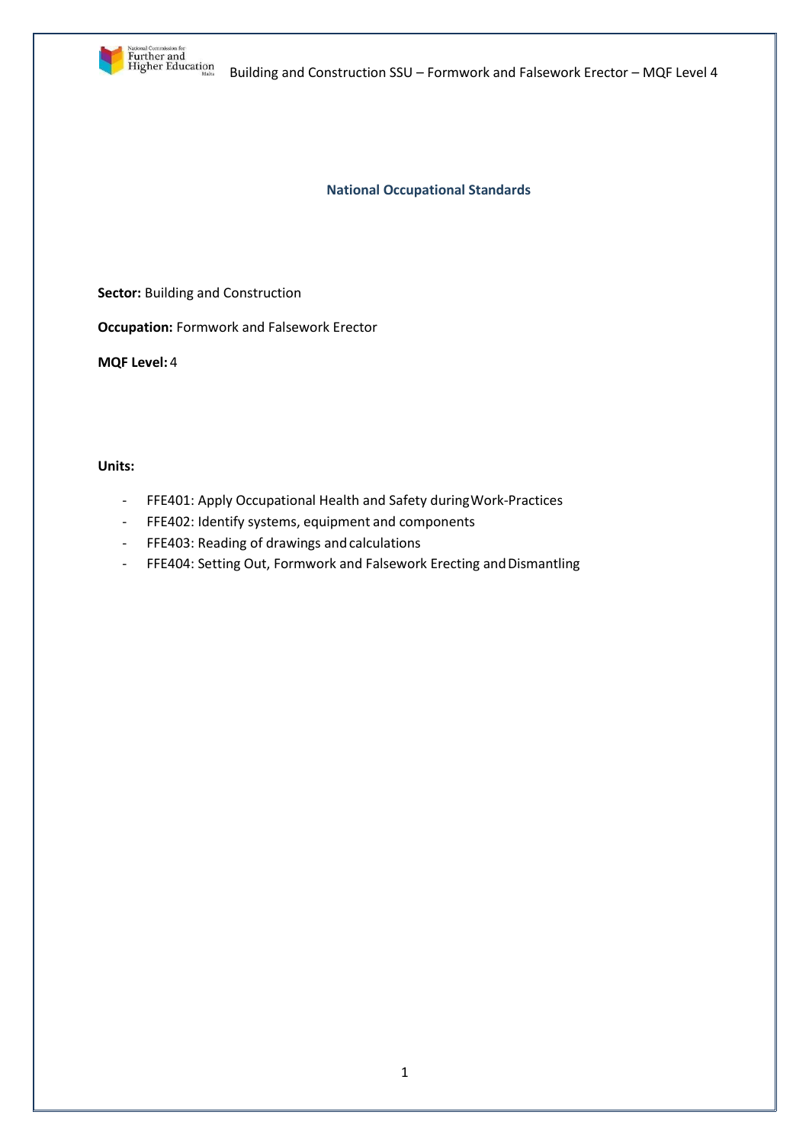

**National Occupational Standards**

**Sector:** Building and Construction

**Occupation:** Formwork and Falsework Erector

**MQF Level:** 4

**Units:**

- FFE401: Apply Occupational Health and Safety duringWork-Practices
- FFE402: Identify systems, equipment and components
- FFE403: Reading of drawings andcalculations
- FFE404: Setting Out, Formwork and Falsework Erecting and Dismantling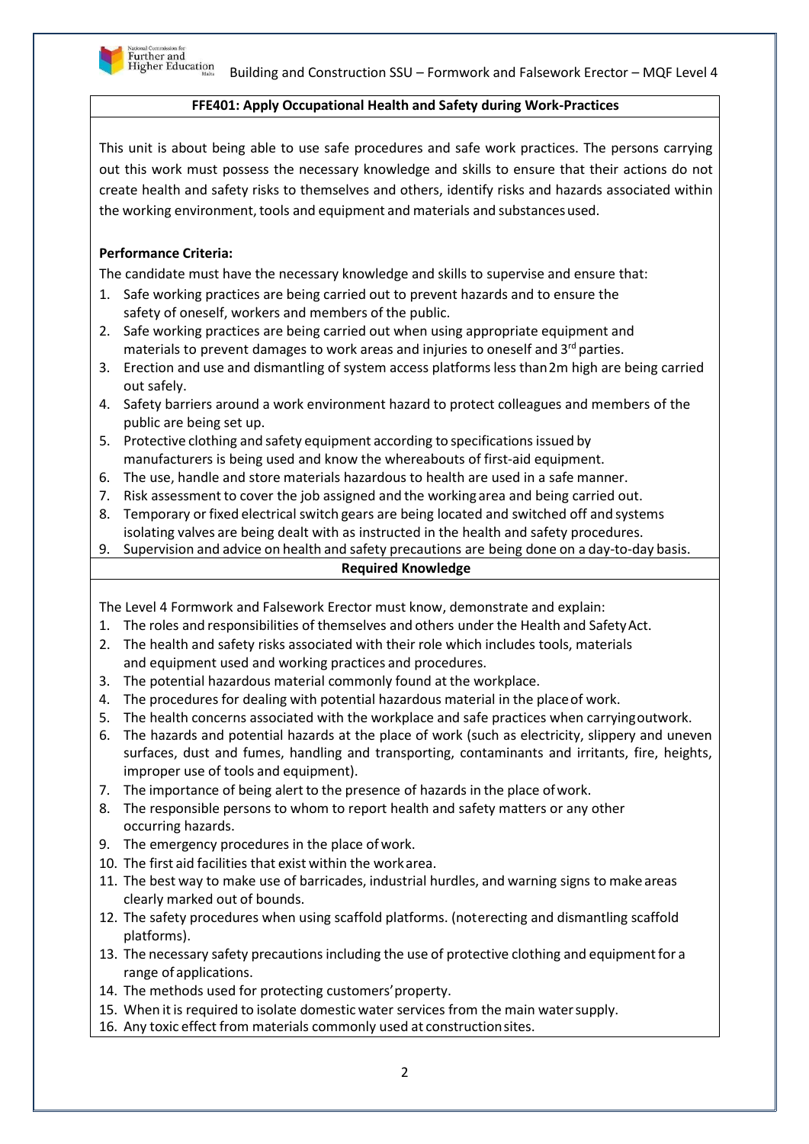

## **FFE401: Apply Occupational Health and Safety during Work-Practices**

This unit is about being able to use safe procedures and safe work practices. The persons carrying out this work must possess the necessary knowledge and skills to ensure that their actions do not create health and safety risks to themselves and others, identify risks and hazards associated within the working environment, tools and equipment and materials and substances used.

# **Performance Criteria:**

The candidate must have the necessary knowledge and skills to supervise and ensure that:

- 1. Safe working practices are being carried out to prevent hazards and to ensure the safety of oneself, workers and members of the public.
- 2. Safe working practices are being carried out when using appropriate equipment and materials to prevent damages to work areas and injuries to oneself and 3<sup>rd</sup> parties.
- 3. Erection and use and dismantling of system access platforms less than2m high are being carried out safely.
- 4. Safety barriers around a work environment hazard to protect colleagues and members of the public are being set up.
- 5. Protective clothing and safety equipment according to specifications issued by manufacturers is being used and know the whereabouts of first-aid equipment.
- 6. The use, handle and store materials hazardous to health are used in a safe manner.
- 7. Risk assessmentto cover the job assigned and the working area and being carried out.
- 8. Temporary or fixed electrical switch gears are being located and switched off and systems isolating valves are being dealt with as instructed in the health and safety procedures.

9. Supervision and advice on health and safety precautions are being done on a day-to-day basis.

## **Required Knowledge**

The Level 4 Formwork and Falsework Erector must know, demonstrate and explain:

- 1. The roles and responsibilities of themselves and others under the Health and SafetyAct.
- 2. The health and safety risks associated with their role which includes tools, materials and equipment used and working practices and procedures.
- 3. The potential hazardous material commonly found at the workplace.
- 4. The procedures for dealing with potential hazardous material in the placeof work.
- 5. The health concerns associated with the workplace and safe practices when carryingoutwork.
- 6. The hazards and potential hazards at the place of work (such as electricity, slippery and uneven surfaces, dust and fumes, handling and transporting, contaminants and irritants, fire, heights, improper use of tools and equipment).
- 7. The importance of being alert to the presence of hazards in the place ofwork.
- 8. The responsible persons to whom to report health and safety matters or any other occurring hazards.
- 9. The emergency procedures in the place ofwork.
- 10. The first aid facilities that exist within the workarea.
- 11. The best way to make use of barricades, industrial hurdles, and warning signs to makeareas clearly marked out of bounds.
- 12. The safety procedures when using scaffold platforms. (noterecting and dismantling scaffold platforms).
- 13. The necessary safety precautions including the use of protective clothing and equipmentfor a range of applications.
- 14. The methods used for protecting customers'property.
- 15. When it is required to isolate domestic water services from the main water supply.
- 16. Any toxic effect from materials commonly used at constructionsites.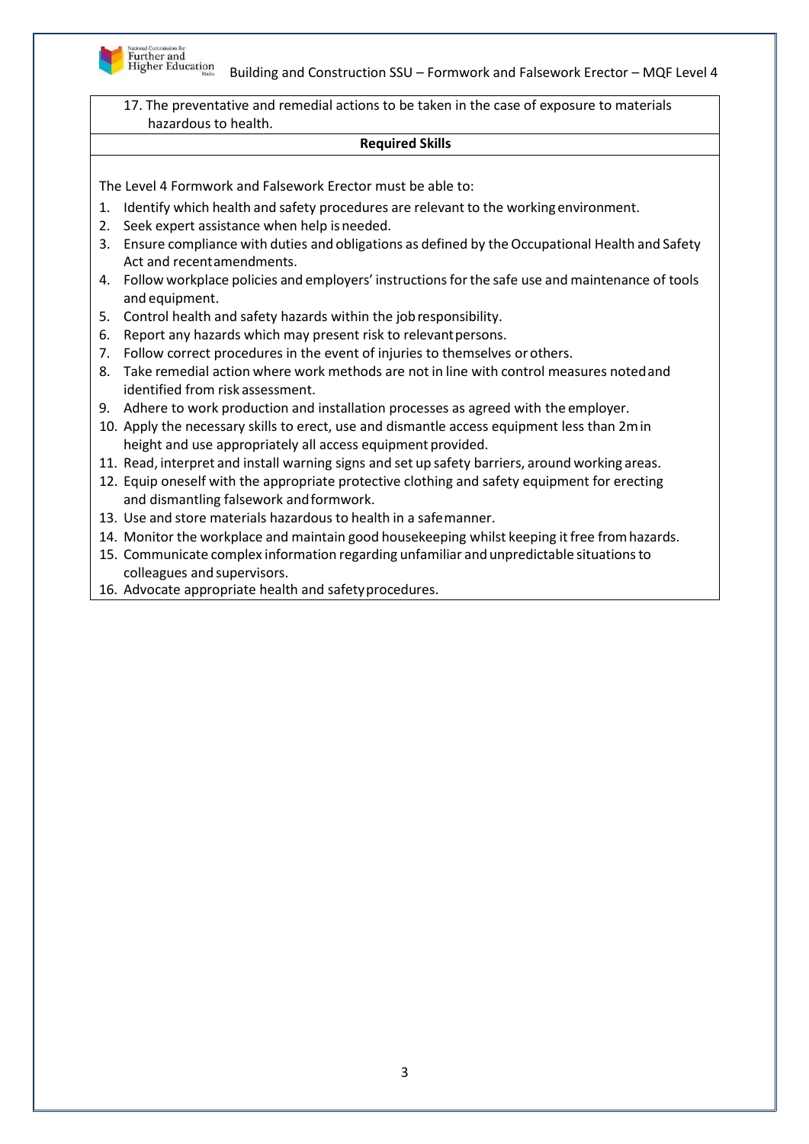

17. The preventative and remedial actions to be taken in the case of exposure to materials hazardous to health.

#### **Required Skills**

The Level 4 Formwork and Falsework Erector must be able to:

- 1. Identify which health and safety procedures are relevant to the working environment.
- 2. Seek expert assistance when help isneeded.
- 3. Ensure compliance with duties and obligations as defined by the Occupational Health and Safety Act and recentamendments.
- 4. Follow workplace policies and employers' instructionsforthe safe use and maintenance of tools and equipment.
- 5. Control health and safety hazards within the jobresponsibility.
- 6. Report any hazards which may present risk to relevantpersons.
- 7. Follow correct procedures in the event of injuries to themselves orothers.
- 8. Take remedial action where work methods are not in line with control measures notedand identified from risk assessment.
- 9. Adhere to work production and installation processes as agreed with the employer.
- 10. Apply the necessary skills to erect, use and dismantle access equipment less than 2min height and use appropriately all access equipment provided.
- 11. Read, interpret and install warning signs and set up safety barriers, around working areas.
- 12. Equip oneself with the appropriate protective clothing and safety equipment for erecting and dismantling falsework andformwork.
- 13. Use and store materials hazardous to health in a safemanner.
- 14. Monitor the workplace and maintain good housekeeping whilst keeping it free from hazards.
- 15. Communicate complex information regarding unfamiliar and unpredictable situationsto colleagues and supervisors.
- 16. Advocate appropriate health and safetyprocedures.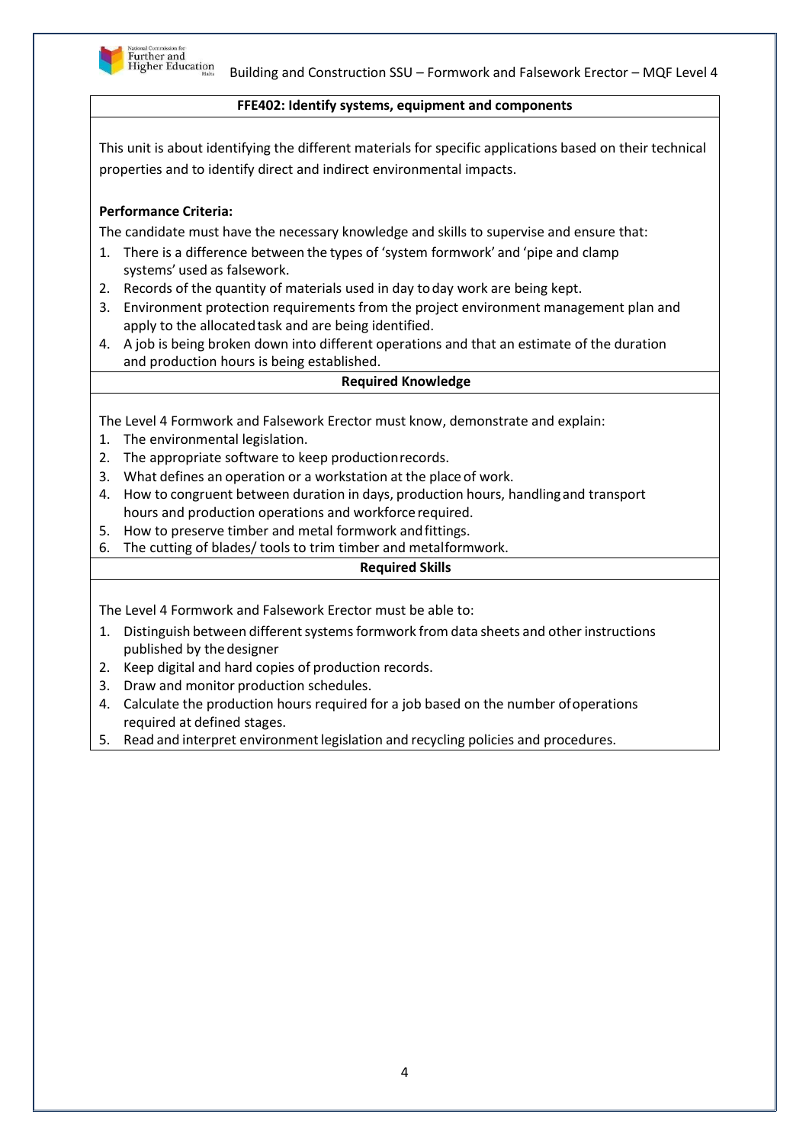

## **FFE402: Identify systems, equipment and components**

This unit is about identifying the different materials for specific applications based on their technical properties and to identify direct and indirect environmental impacts.

# **Performance Criteria:**

The candidate must have the necessary knowledge and skills to supervise and ensure that:

- 1. There is a difference between the types of 'system formwork' and 'pipe and clamp systems' used as falsework.
- 2. Records of the quantity of materials used in day today work are being kept.
- 3. Environment protection requirements from the project environment management plan and apply to the allocated task and are being identified.
- 4. A job is being broken down into different operations and that an estimate of the duration and production hours is being established.

#### **Required Knowledge**

The Level 4 Formwork and Falsework Erector must know, demonstrate and explain:

- 1. The environmental legislation.
- 2. The appropriate software to keep productionrecords.
- 3. What defines an operation or a workstation at the place of work.
- 4. How to congruent between duration in days, production hours, handlingand transport hours and production operations and workforce required.
- 5. How to preserve timber and metal formwork andfittings.
- 6. The cutting of blades/ tools to trim timber and metalformwork.

#### **Required Skills**

The Level 4 Formwork and Falsework Erector must be able to:

- 1. Distinguish between different systems formwork from data sheets and other instructions published by the designer
- 2. Keep digital and hard copies of production records.
- 3. Draw and monitor production schedules.
- 4. Calculate the production hours required for a job based on the number ofoperations required at defined stages.
- 5. Read and interpret environment legislation and recycling policies and procedures.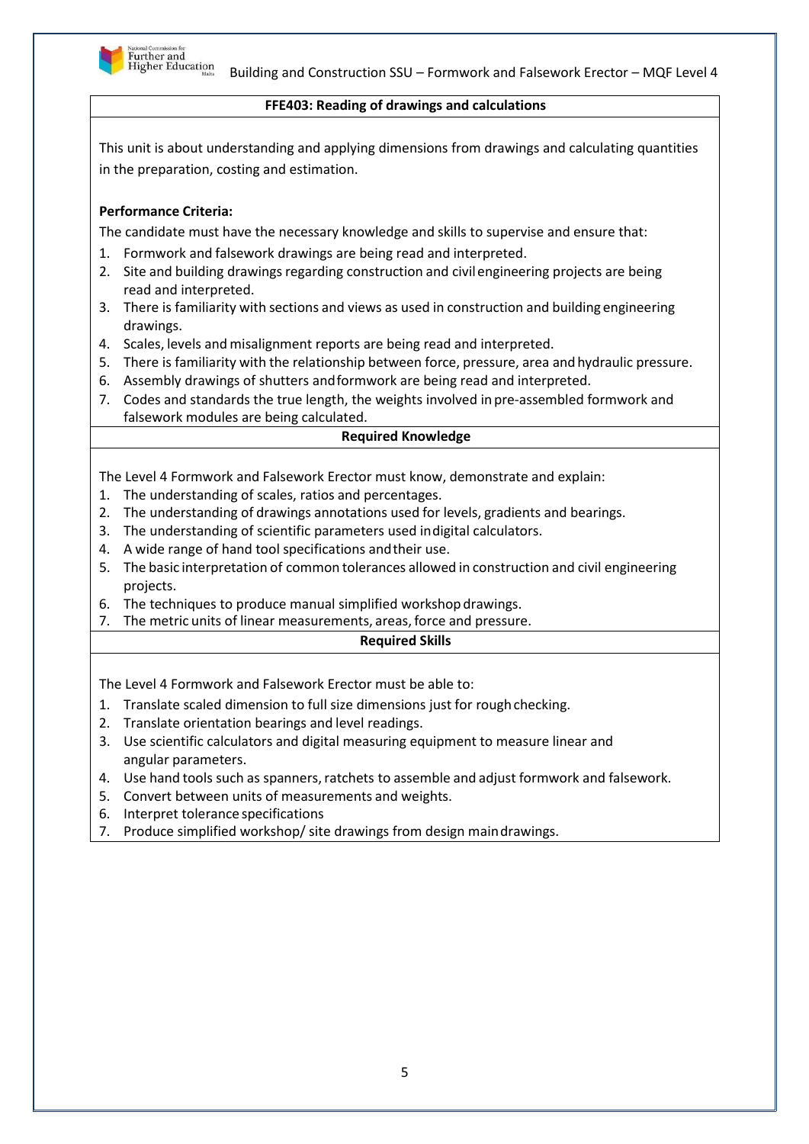

#### **FFE403: Reading of drawings and calculations**

This unit is about understanding and applying dimensions from drawings and calculating quantities in the preparation, costing and estimation.

# **Performance Criteria:**

The candidate must have the necessary knowledge and skills to supervise and ensure that:

- 1. Formwork and falsework drawings are being read and interpreted.
- 2. Site and building drawings regarding construction and civilengineering projects are being read and interpreted.
- 3. There is familiarity with sections and views as used in construction and building engineering drawings.
- 4. Scales, levels and misalignment reports are being read and interpreted.
- 5. There is familiarity with the relationship between force, pressure, area andhydraulic pressure.
- 6. Assembly drawings of shutters andformwork are being read and interpreted.
- 7. Codes and standards the true length, the weights involved in pre-assembled formwork and falsework modules are being calculated.

## **Required Knowledge**

The Level 4 Formwork and Falsework Erector must know, demonstrate and explain:

- 1. The understanding of scales, ratios and percentages.
- 2. The understanding of drawings annotations used for levels, gradients and bearings.
- 3. The understanding of scientific parameters used indigital calculators.
- 4. A wide range of hand tool specifications andtheir use.
- 5. The basic interpretation of common tolerances allowed in construction and civil engineering projects.
- 6. The techniques to produce manual simplified workshop drawings.
- 7. The metric units of linear measurements, areas, force and pressure.

# **Required Skills**

The Level 4 Formwork and Falsework Erector must be able to:

- 1. Translate scaled dimension to full size dimensions just for rough checking.
- 2. Translate orientation bearings and level readings.
- 3. Use scientific calculators and digital measuring equipment to measure linear and angular parameters.
- 4. Use hand tools such as spanners, ratchets to assemble and adjust formwork and falsework.
- 5. Convert between units of measurements and weights.
- 6. Interpret tolerance specifications
- 7. Produce simplified workshop/ site drawings from design maindrawings.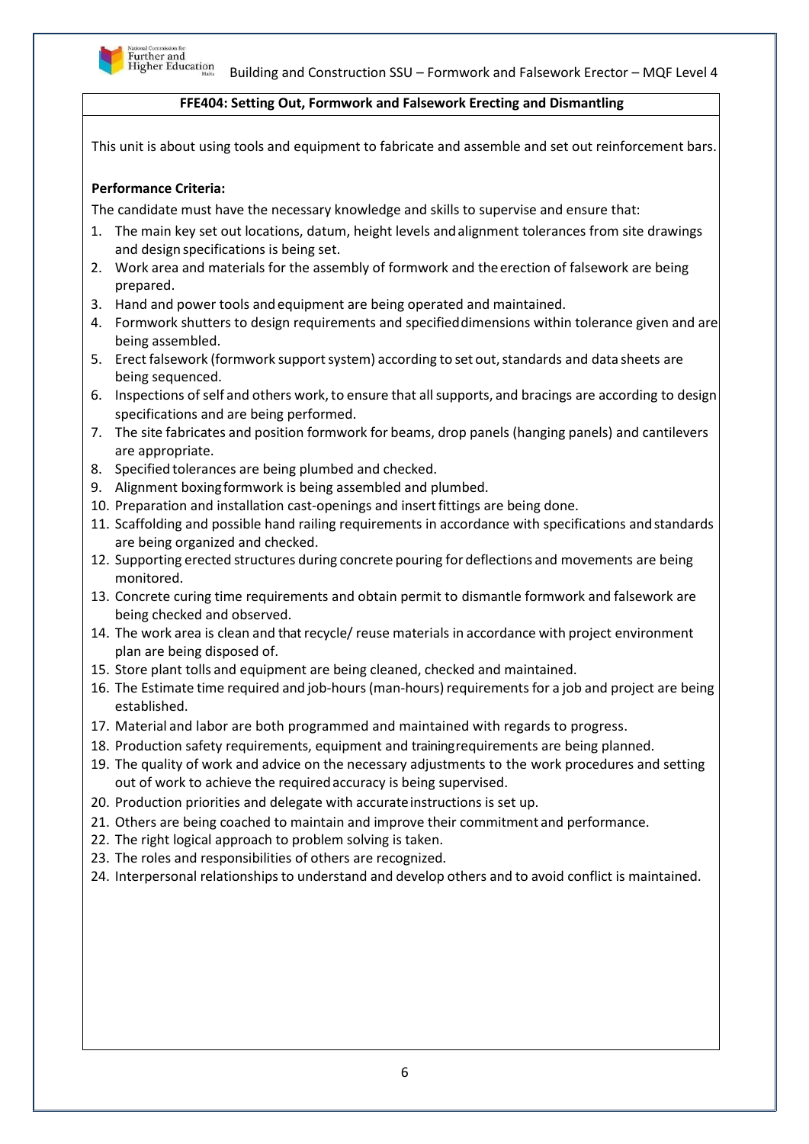

## **FFE404: Setting Out, Formwork and Falsework Erecting and Dismantling**

This unit is about using tools and equipment to fabricate and assemble and set out reinforcement bars.

# **Performance Criteria:**

The candidate must have the necessary knowledge and skills to supervise and ensure that:

- 1. The main key set out locations, datum, height levels andalignment tolerances from site drawings and design specifications is being set.
- 2. Work area and materials for the assembly of formwork and theerection of falsework are being prepared.
- 3. Hand and power tools andequipment are being operated and maintained.
- 4. Formwork shutters to design requirements and specifieddimensions within tolerance given and are being assembled.
- 5. Erect falsework (formwork support system) according to set out, standards and data sheets are being sequenced.
- 6. Inspections ofself and others work,to ensure that allsupports, and bracings are according to design specifications and are being performed.
- 7. The site fabricates and position formwork for beams, drop panels (hanging panels) and cantilevers are appropriate.
- 8. Specified tolerances are being plumbed and checked.
- 9. Alignment boxingformwork is being assembled and plumbed.
- 10. Preparation and installation cast-openings and insertfittings are being done.
- 11. Scaffolding and possible hand railing requirements in accordance with specifications andstandards are being organized and checked.
- 12. Supporting erected structures during concrete pouring for deflections and movements are being monitored.
- 13. Concrete curing time requirements and obtain permit to dismantle formwork and falsework are being checked and observed.
- 14. The work area is clean and that recycle/ reuse materials in accordance with project environment plan are being disposed of.
- 15. Store plant tolls and equipment are being cleaned, checked and maintained.
- 16. The Estimate time required and job-hours(man-hours)requirements for a job and project are being established.
- 17. Material and labor are both programmed and maintained with regards to progress.
- 18. Production safety requirements, equipment and trainingrequirements are being planned.
- 19. The quality of work and advice on the necessary adjustments to the work procedures and setting out of work to achieve the requiredaccuracy is being supervised.
- 20. Production priorities and delegate with accurateinstructions is set up.
- 21. Others are being coached to maintain and improve their commitment and performance.
- 22. The right logical approach to problem solving is taken.
- 23. The roles and responsibilities of others are recognized.
- 24. Interpersonal relationshipsto understand and develop others and to avoid conflict is maintained.